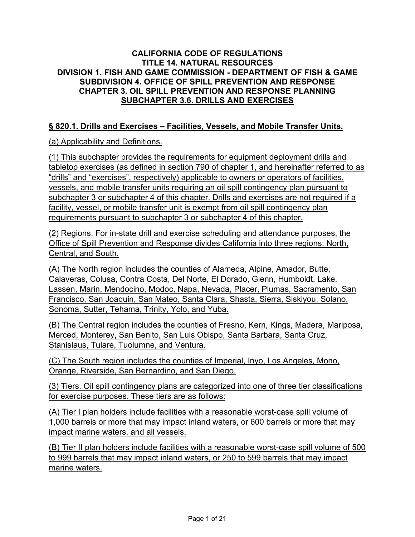### **CALIFORNIA CODE OF REGULATIONS TITLE 14. NATURAL RESOURCES DIVISION 1. FISH AND GAME COMMISSION - DEPARTMENT OF FISH & GAME SUBDIVISION 4. OFFICE OF SPILL PREVENTION AND RESPONSE CHAPTER 3. OIL SPILL PREVENTION AND RESPONSE PLANNING SUBCHAPTER 3.6. DRILLS AND EXERCISES**

## **§ 820.1. Drills and Exercises – Facilities, Vessels, and Mobile Transfer Units.**

### (a) Applicability and Definitions.

(1) This subchapter provides the requirements for equipment deployment drills and tabletop exercises (as defined in section 790 of chapter 1, and hereinafter referred to as "drills" and "exercises", respectively) applicable to owners or operators of facilities, vessels, and mobile transfer units requiring an oil spill contingency plan pursuant to subchapter 3 or subchapter 4 of this chapter. Drills and exercises are not required if a facility, vessel, or mobile transfer unit is exempt from oil spill contingency plan requirements pursuant to subchapter 3 or subchapter 4 of this chapter.

(2) Regions. For in-state drill and exercise scheduling and attendance purposes, the Office of Spill Prevention and Response divides California into three regions: North, Central, and South.

(A) The North region includes the counties of Alameda, Alpine, Amador, Butte, Calaveras, Colusa, Contra Costa, Del Norte, El Dorado, Glenn, Humboldt, Lake, Lassen, Marin, Mendocino, Modoc, Napa, Nevada, Placer, Plumas, Sacramento, San Francisco, San Joaquin, San Mateo, Santa Clara, Shasta, Sierra, Siskiyou, Solano, Sonoma, Sutter, Tehama, Trinity, Yolo, and Yuba.

(B) The Central region includes the counties of Fresno, Kern, Kings, Madera, Mariposa, Merced, Monterey, San Benito, San Luis Obispo, Santa Barbara, Santa Cruz, Stanislaus, Tulare, Tuolumne, and Ventura.

(C) The South region includes the counties of Imperial, Inyo, Los Angeles, Mono, Orange, Riverside, San Bernardino, and San Diego.

(3) Tiers. Oil spill contingency plans are categorized into one of three tier classifications for exercise purposes. These tiers are as follows:

(A) Tier I plan holders include facilities with a reasonable worst-case spill volume of 1,000 barrels or more that may impact inland waters, or 600 barrels or more that may impact marine waters, and all vessels.

(B) Tier II plan holders include facilities with a reasonable worst-case spill volume of 500 to 999 barrels that may impact inland waters, or 250 to 599 barrels that may impact marine waters.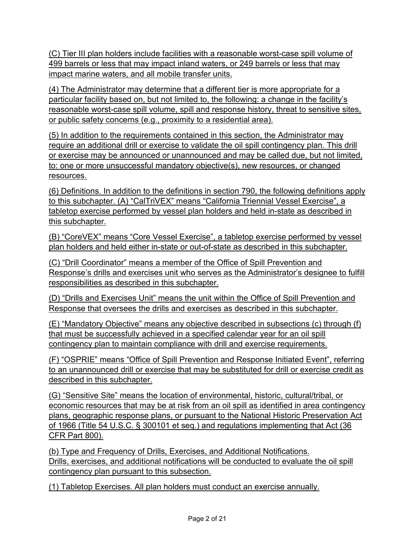(C) Tier III plan holders include facilities with a reasonable worst-case spill volume of 499 barrels or less that may impact inland waters, or 249 barrels or less that may impact marine waters, and all mobile transfer units.

(4) The Administrator may determine that a different tier is more appropriate for a particular facility based on, but not limited to, the following: a change in the facility's reasonable worst-case spill volume, spill and response history, threat to sensitive sites, or public safety concerns (e.g., proximity to a residential area).

(5) In addition to the requirements contained in this section, the Administrator may require an additional drill or exercise to validate the oil spill contingency plan. This drill or exercise may be announced or unannounced and may be called due, but not limited, to: one or more unsuccessful mandatory objective(s), new resources, or changed resources.

(6) Definitions. In addition to the definitions in section 790, the following definitions apply to this subchapter. (A) "CalTriVEX" means "California Triennial Vessel Exercise", a tabletop exercise performed by vessel plan holders and held in-state as described in this subchapter.

(B) "CoreVEX" means "Core Vessel Exercise", a tabletop exercise performed by vessel plan holders and held either in-state or out-of-state as described in this subchapter.

(C) "Drill Coordinator" means a member of the Office of Spill Prevention and Response's drills and exercises unit who serves as the Administrator's designee to fulfill responsibilities as described in this subchapter.

(D) "Drills and Exercises Unit" means the unit within the Office of Spill Prevention and Response that oversees the drills and exercises as described in this subchapter.

(E) "Mandatory Objective" means any objective described in subsections (c) through (f) that must be successfully achieved in a specified calendar year for an oil spill contingency plan to maintain compliance with drill and exercise requirements.

(F) "OSPRIE" means "Office of Spill Prevention and Response Initiated Event", referring to an unannounced drill or exercise that may be substituted for drill or exercise credit as described in this subchapter.

(G) "Sensitive Site" means the location of environmental, historic, cultural/tribal, or economic resources that may be at risk from an oil spill as identified in area contingency plans, geographic response plans, or pursuant to the National Historic Preservation Act of 1966 (Title 54 U.S.C. § 300101 et seq*.*) and regulations implementing that Act (36 CFR Part 800).

(b) Type and Frequency of Drills, Exercises, and Additional Notifications. Drills, exercises, and additional notifications will be conducted to evaluate the oil spill contingency plan pursuant to this subsection.

(1) Tabletop Exercises. All plan holders must conduct an exercise annually.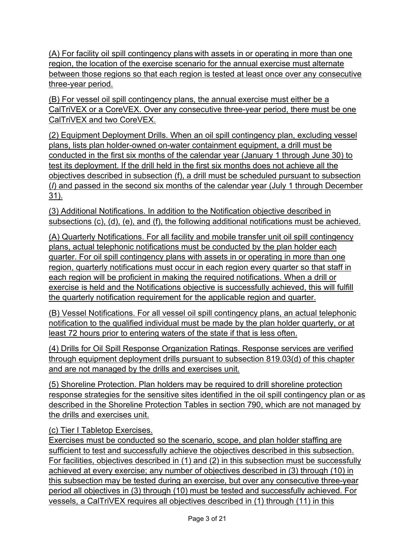(A) For facility oil spill contingency plans with assets in or operating in more than one region, the location of the exercise scenario for the annual exercise must alternate between those regions so that each region is tested at least once over any consecutive three-year period.

(B) For vessel oil spill contingency plans, the annual exercise must either be a CalTriVEX or a CoreVEX. Over any consecutive three-year period, there must be one CalTriVEX and two CoreVEX.

(2) Equipment Deployment Drills. When an oil spill contingency plan, excluding vessel plans, lists plan holder-owned on-water containment equipment, a drill must be conducted in the first six months of the calendar year (January 1 through June 30) to test its deployment. If the drill held in the first six months does not achieve all the objectives described in subsection (f), a drill must be scheduled pursuant to subsection (*I*) and passed in the second six months of the calendar year (July 1 through December 31).

(3) Additional Notifications. In addition to the Notification objective described in subsections (c), (d), (e), and (f), the following additional notifications must be achieved.

(A) Quarterly Notifications. For all facility and mobile transfer unit oil spill contingency plans, actual telephonic notifications must be conducted by the plan holder each quarter. For oil spill contingency plans with assets in or operating in more than one region, quarterly notifications must occur in each region every quarter so that staff in each region will be proficient in making the required notifications. When a drill or exercise is held and the Notifications objective is successfully achieved, this will fulfill the quarterly notification requirement for the applicable region and quarter.

(B) Vessel Notifications. For all vessel oil spill contingency plans, an actual telephonic notification to the qualified individual must be made by the plan holder quarterly, or at least 72 hours prior to entering waters of the state if that is less often.

(4) Drills for Oil Spill Response Organization Ratings. Response services are verified through equipment deployment drills pursuant to subsection 819.03(d) of this chapter and are not managed by the drills and exercises unit.

(5) Shoreline Protection. Plan holders may be required to drill shoreline protection response strategies for the sensitive sites identified in the oil spill contingency plan or as described in the Shoreline Protection Tables in section 790, which are not managed by the drills and exercises unit.

# (c) Tier I Tabletop Exercises.

Exercises must be conducted so the scenario, scope, and plan holder staffing are sufficient to test and successfully achieve the objectives described in this subsection. For facilities, objectives described in (1) and (2) in this subsection must be successfully achieved at every exercise; any number of objectives described in (3) through (10) in this subsection may be tested during an exercise, but over any consecutive three-year period all objectives in (3) through (10) must be tested and successfully achieved. For vessels, a CalTriVEX requires all objectives described in (1) through (11) in this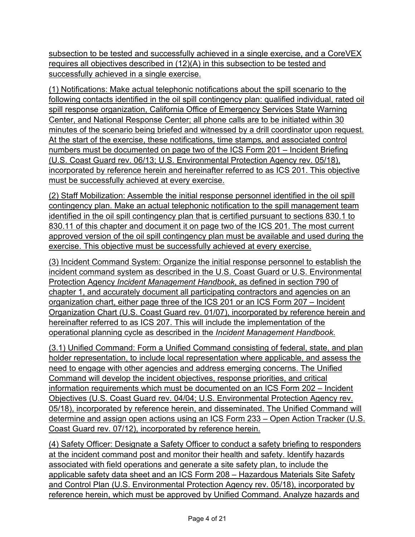subsection to be tested and successfully achieved in a single exercise, and a CoreVEX requires all objectives described in (12)(A) in this subsection to be tested and successfully achieved in a single exercise.

(1) Notifications: Make actual telephonic notifications about the spill scenario to the following contacts identified in the oil spill contingency plan: qualified individual, rated oil spill response organization, California Office of Emergency Services State Warning Center, and National Response Center; all phone calls are to be initiated within 30 minutes of the scenario being briefed and witnessed by a drill coordinator upon request. At the start of the exercise, these notifications, time stamps, and associated control numbers must be documented on page two of the ICS Form 201 – Incident Briefing (U.S. Coast Guard rev. 06/13; U.S. Environmental Protection Agency rev. 05/18), incorporated by reference herein and hereinafter referred to as ICS 201. This objective must be successfully achieved at every exercise.

(2) Staff Mobilization: Assemble the initial response personnel identified in the oil spill contingency plan. Make an actual telephonic notification to the spill management team identified in the oil spill contingency plan that is certified pursuant to sections 830.1 to 830.11 of this chapter and document it on page two of the ICS 201. The most current approved version of the oil spill contingency plan must be available and used during the exercise. This objective must be successfully achieved at every exercise.

(3) Incident Command System: Organize the initial response personnel to establish the incident command system as described in the U.S. Coast Guard or U.S. Environmental Protection Agency *Incident Management Handbook*, as defined in section 790 of chapter 1, and accurately document all participating contractors and agencies on an organization chart, either page three of the ICS 201 or an ICS Form 207 – Incident Organization Chart (U.S. Coast Guard rev. 01/07), incorporated by reference herein and hereinafter referred to as ICS 207. This will include the implementation of the operational planning cycle as described in the *Incident Management Handbook*.

(3.1) Unified Command: Form a Unified Command consisting of federal, state, and plan holder representation, to include local representation where applicable, and assess the need to engage with other agencies and address emerging concerns. The Unified Command will develop the incident objectives, response priorities, and critical information requirements which must be documented on an ICS Form 202 – Incident Objectives (U.S. Coast Guard rev. 04/04; U.S. Environmental Protection Agency rev. 05/18), incorporated by reference herein, and disseminated. The Unified Command will determine and assign open actions using an ICS Form 233 – Open Action Tracker (U.S. Coast Guard rev. 07/12), incorporated by reference herein.

(4) Safety Officer: Designate a Safety Officer to conduct a safety briefing to responders at the incident command post and monitor their health and safety. Identify hazards associated with field operations and generate a site safety plan, to include the applicable safety data sheet and an ICS Form 208 – Hazardous Materials Site Safety and Control Plan (U.S. Environmental Protection Agency rev. 05/18), incorporated by reference herein, which must be approved by Unified Command. Analyze hazards and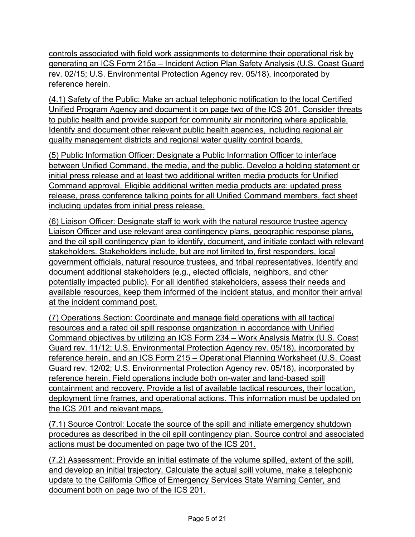controls associated with field work assignments to determine their operational risk by generating an ICS Form 215a – Incident Action Plan Safety Analysis (U.S. Coast Guard rev. 02/15; U.S. Environmental Protection Agency rev. 05/18), incorporated by reference herein.

(4.1) Safety of the Public: Make an actual telephonic notification to the local Certified Unified Program Agency and document it on page two of the ICS 201. Consider threats to public health and provide support for community air monitoring where applicable. Identify and document other relevant public health agencies, including regional air quality management districts and regional water quality control boards.

(5) Public Information Officer: Designate a Public Information Officer to interface between Unified Command, the media, and the public. Develop a holding statement or initial press release and at least two additional written media products for Unified Command approval. Eligible additional written media products are: updated press release, press conference talking points for all Unified Command members, fact sheet including updates from initial press release.

(6) Liaison Officer: Designate staff to work with the natural resource trustee agency Liaison Officer and use relevant area contingency plans, geographic response plans, and the oil spill contingency plan to identify, document, and initiate contact with relevant stakeholders. Stakeholders include, but are not limited to, first responders, local government officials, natural resource trustees, and tribal representatives. Identify and document additional stakeholders (e.g., elected officials, neighbors, and other potentially impacted public). For all identified stakeholders, assess their needs and available resources, keep them informed of the incident status, and monitor their arrival at the incident command post.

(7) Operations Section: Coordinate and manage field operations with all tactical resources and a rated oil spill response organization in accordance with Unified Command objectives by utilizing an ICS Form 234 – Work Analysis Matrix (U.S. Coast Guard rev. 11/12; U.S. Environmental Protection Agency rev. 05/18), incorporated by reference herein, and an ICS Form 215 – Operational Planning Worksheet (U.S. Coast Guard rev. 12/02; U.S. Environmental Protection Agency rev. 05/18), incorporated by reference herein. Field operations include both on-water and land-based spill containment and recovery. Provide a list of available tactical resources, their location, deployment time frames, and operational actions. This information must be updated on the ICS 201 and relevant maps.

(7.1) Source Control: Locate the source of the spill and initiate emergency shutdown procedures as described in the oil spill contingency plan. Source control and associated actions must be documented on page two of the ICS 201.

(7.2) Assessment: Provide an initial estimate of the volume spilled, extent of the spill, and develop an initial trajectory. Calculate the actual spill volume, make a telephonic update to the California Office of Emergency Services State Warning Center, and document both on page two of the ICS 201.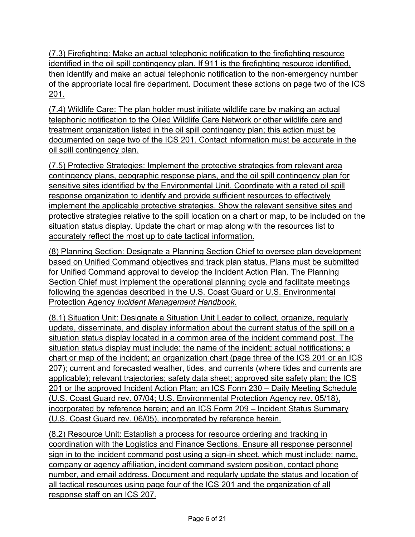(7.3) Firefighting: Make an actual telephonic notification to the firefighting resource identified in the oil spill contingency plan. If 911 is the firefighting resource identified, then identify and make an actual telephonic notification to the non-emergency number of the appropriate local fire department. Document these actions on page two of the ICS 201.

(7.4) Wildlife Care: The plan holder must initiate wildlife care by making an actual telephonic notification to the Oiled Wildlife Care Network or other wildlife care and treatment organization listed in the oil spill contingency plan; this action must be documented on page two of the ICS 201. Contact information must be accurate in the oil spill contingency plan.

(7.5) Protective Strategies: Implement the protective strategies from relevant area contingency plans, geographic response plans, and the oil spill contingency plan for sensitive sites identified by the Environmental Unit. Coordinate with a rated oil spill response organization to identify and provide sufficient resources to effectively implement the applicable protective strategies. Show the relevant sensitive sites and protective strategies relative to the spill location on a chart or map, to be included on the situation status display. Update the chart or map along with the resources list to accurately reflect the most up to date tactical information.

(8) Planning Section: Designate a Planning Section Chief to oversee plan development based on Unified Command objectives and track plan status. Plans must be submitted for Unified Command approval to develop the Incident Action Plan. The Planning Section Chief must implement the operational planning cycle and facilitate meetings following the agendas described in the U.S. Coast Guard or U.S. Environmental Protection Agency *Incident Management Handbook*.

(8.1) Situation Unit: Designate a Situation Unit Leader to collect, organize, regularly update, disseminate, and display information about the current status of the spill on a situation status display located in a common area of the incident command post. The situation status display must include: the name of the incident; actual notifications; a chart or map of the incident; an organization chart (page three of the ICS 201 or an ICS 207); current and forecasted weather, tides, and currents (where tides and currents are applicable); relevant trajectories; safety data sheet; approved site safety plan; the ICS 201 or the approved Incident Action Plan; an ICS Form 230 – Daily Meeting Schedule (U.S. Coast Guard rev. 07/04; U.S. Environmental Protection Agency rev. 05/18), incorporated by reference herein; and an ICS Form 209 – Incident Status Summary (U.S. Coast Guard rev. 06/05), incorporated by reference herein.

(8.2) Resource Unit: Establish a process for resource ordering and tracking in coordination with the Logistics and Finance Sections. Ensure all response personnel sign in to the incident command post using a sign-in sheet, which must include: name, company or agency affiliation, incident command system position, contact phone number, and email address. Document and regularly update the status and location of all tactical resources using page four of the ICS 201 and the organization of all response staff on an ICS 207.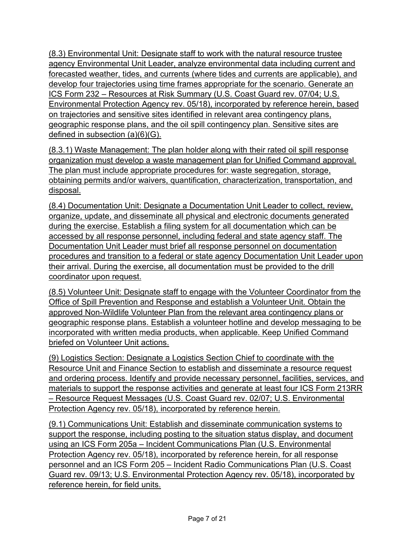(8.3) Environmental Unit: Designate staff to work with the natural resource trustee agency Environmental Unit Leader, analyze environmental data including current and forecasted weather, tides, and currents (where tides and currents are applicable), and develop four trajectories using time frames appropriate for the scenario. Generate an ICS Form 232 – Resources at Risk Summary (U.S. Coast Guard rev. 07/04; U.S. Environmental Protection Agency rev. 05/18), incorporated by reference herein, based on trajectories and sensitive sites identified in relevant area contingency plans, geographic response plans, and the oil spill contingency plan. Sensitive sites are defined in subsection (a)(6)(G).

(8.3.1) Waste Management: The plan holder along with their rated oil spill response organization must develop a waste management plan for Unified Command approval. The plan must include appropriate procedures for: waste segregation, storage, obtaining permits and/or waivers, quantification, characterization, transportation, and disposal.

(8.4) Documentation Unit: Designate a Documentation Unit Leader to collect, review, organize, update, and disseminate all physical and electronic documents generated during the exercise. Establish a filing system for all documentation which can be accessed by all response personnel, including federal and state agency staff. The Documentation Unit Leader must brief all response personnel on documentation procedures and transition to a federal or state agency Documentation Unit Leader upon their arrival. During the exercise, all documentation must be provided to the drill coordinator upon request.

(8.5) Volunteer Unit: Designate staff to engage with the Volunteer Coordinator from the Office of Spill Prevention and Response and establish a Volunteer Unit. Obtain the approved Non-Wildlife Volunteer Plan from the relevant area contingency plans or geographic response plans. Establish a volunteer hotline and develop messaging to be incorporated with written media products, when applicable. Keep Unified Command briefed on Volunteer Unit actions.

(9) Logistics Section: Designate a Logistics Section Chief to coordinate with the Resource Unit and Finance Section to establish and disseminate a resource request and ordering process. Identify and provide necessary personnel, facilities, services, and materials to support the response activities and generate at least four ICS Form 213RR – Resource Request Messages (U.S. Coast Guard rev. 02/07; U.S. Environmental Protection Agency rev. 05/18), incorporated by reference herein.

(9.1) Communications Unit: Establish and disseminate communication systems to support the response, including posting to the situation status display, and document using an ICS Form 205a – Incident Communications Plan (U.S. Environmental Protection Agency rev. 05/18), incorporated by reference herein, for all response personnel and an ICS Form 205 – Incident Radio Communications Plan (U.S. Coast Guard rev. 09/13; U.S. Environmental Protection Agency rev. 05/18), incorporated by reference herein, for field units.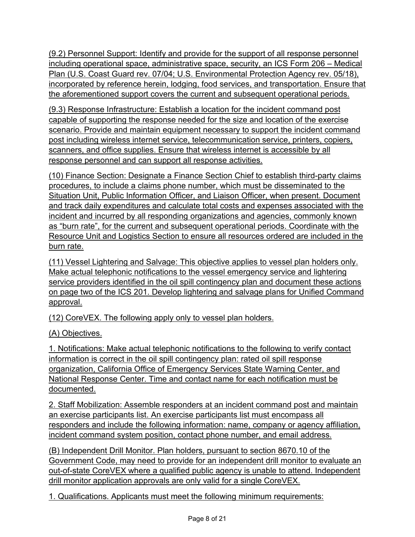(9.2) Personnel Support: Identify and provide for the support of all response personnel including operational space, administrative space, security, an ICS Form 206 – Medical Plan (U.S. Coast Guard rev. 07/04; U.S. Environmental Protection Agency rev. 05/18), incorporated by reference herein, lodging, food services, and transportation. Ensure that the aforementioned support covers the current and subsequent operational periods.

(9.3) Response Infrastructure: Establish a location for the incident command post capable of supporting the response needed for the size and location of the exercise scenario. Provide and maintain equipment necessary to support the incident command post including wireless internet service, telecommunication service, printers, copiers, scanners, and office supplies. Ensure that wireless internet is accessible by all response personnel and can support all response activities.

(10) Finance Section: Designate a Finance Section Chief to establish third-party claims procedures, to include a claims phone number, which must be disseminated to the Situation Unit, Public Information Officer, and Liaison Officer, when present. Document and track daily expenditures and calculate total costs and expenses associated with the incident and incurred by all responding organizations and agencies, commonly known as "burn rate", for the current and subsequent operational periods. Coordinate with the Resource Unit and Logistics Section to ensure all resources ordered are included in the burn rate.

(11) Vessel Lightering and Salvage: This objective applies to vessel plan holders only. Make actual telephonic notifications to the vessel emergency service and lightering service providers identified in the oil spill contingency plan and document these actions on page two of the ICS 201. Develop lightering and salvage plans for Unified Command approval.

(12) CoreVEX. The following apply only to vessel plan holders.

(A) Objectives.

1. Notifications: Make actual telephonic notifications to the following to verify contact information is correct in the oil spill contingency plan: rated oil spill response organization, California Office of Emergency Services State Warning Center, and National Response Center. Time and contact name for each notification must be documented.

2. Staff Mobilization: Assemble responders at an incident command post and maintain an exercise participants list. An exercise participants list must encompass all responders and include the following information: name, company or agency affiliation, incident command system position, contact phone number, and email address.

(B) Independent Drill Monitor. Plan holders, pursuant to section 8670.10 of the Government Code, may need to provide for an independent drill monitor to evaluate an out-of-state CoreVEX where a qualified public agency is unable to attend. Independent drill monitor application approvals are only valid for a single CoreVEX.

1. Qualifications. Applicants must meet the following minimum requirements: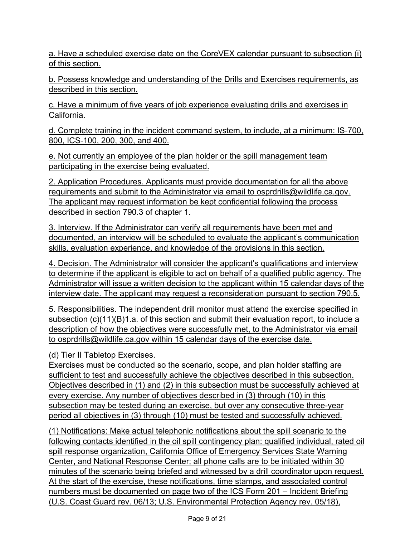a. Have a scheduled exercise date on the CoreVEX calendar pursuant to subsection (i) of this section.

b. Possess knowledge and understanding of the Drills and Exercises requirements, as described in this section.

c. Have a minimum of five years of job experience evaluating drills and exercises in California.

d. Complete training in the incident command system, to include, at a minimum: IS-700, 800, ICS-100, 200, 300, and 400.

e. Not currently an employee of the plan holder or the spill management team participating in the exercise being evaluated.

2. Application Procedures. Applicants must provide documentation for all the above requirements and submit to the Administrator via email to osprdrills@wildlife.ca.gov. The applicant may request information be kept confidential following the process described in section 790.3 of chapter 1.

3. Interview. If the Administrator can verify all requirements have been met and documented, an interview will be scheduled to evaluate the applicant's communication skills, evaluation experience, and knowledge of the provisions in this section.

4. Decision. The Administrator will consider the applicant's qualifications and interview to determine if the applicant is eligible to act on behalf of a qualified public agency. The Administrator will issue a written decision to the applicant within 15 calendar days of the interview date. The applicant may request a reconsideration pursuant to section 790.5.

5. Responsibilities. The independent drill monitor must attend the exercise specified in subsection  $(c)(11)(B)1.a.$  of this section and submit their evaluation report, to include a description of how the objectives were successfully met, to the Administrator via email to osprdrills@wildlife.ca.gov within 15 calendar days of the exercise date.

(d) Tier II Tabletop Exercises.

Exercises must be conducted so the scenario, scope, and plan holder staffing are sufficient to test and successfully achieve the objectives described in this subsection. Objectives described in (1) and (2) in this subsection must be successfully achieved at every exercise. Any number of objectives described in (3) through (10) in this subsection may be tested during an exercise, but over any consecutive three-year period all objectives in (3) through (10) must be tested and successfully achieved.

(1) Notifications: Make actual telephonic notifications about the spill scenario to the following contacts identified in the oil spill contingency plan: qualified individual, rated oil spill response organization, California Office of Emergency Services State Warning Center, and National Response Center; all phone calls are to be initiated within 30 minutes of the scenario being briefed and witnessed by a drill coordinator upon request. At the start of the exercise, these notifications, time stamps, and associated control numbers must be documented on page two of the ICS Form 201 – Incident Briefing (U.S. Coast Guard rev. 06/13; U.S. Environmental Protection Agency rev. 05/18),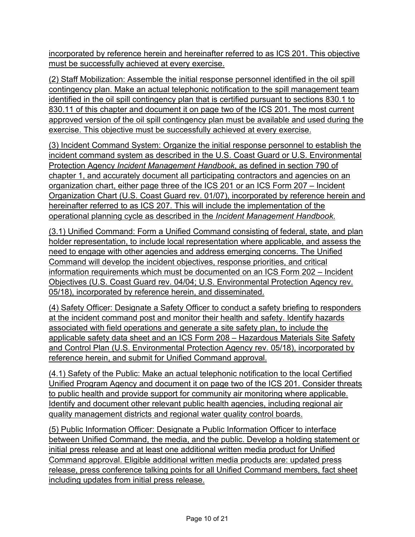incorporated by reference herein and hereinafter referred to as ICS 201. This objective must be successfully achieved at every exercise.

(2) Staff Mobilization: Assemble the initial response personnel identified in the oil spill contingency plan. Make an actual telephonic notification to the spill management team identified in the oil spill contingency plan that is certified pursuant to sections 830.1 to 830.11 of this chapter and document it on page two of the ICS 201. The most current approved version of the oil spill contingency plan must be available and used during the exercise. This objective must be successfully achieved at every exercise.

(3) Incident Command System: Organize the initial response personnel to establish the incident command system as described in the U.S. Coast Guard or U.S. Environmental Protection Agency *Incident Management Handbook*, as defined in section 790 of chapter 1, and accurately document all participating contractors and agencies on an organization chart, either page three of the ICS 201 or an ICS Form 207 – Incident Organization Chart (U.S. Coast Guard rev. 01/07), incorporated by reference herein and hereinafter referred to as ICS 207. This will include the implementation of the operational planning cycle as described in the *Incident Management Handbook*.

(3.1) Unified Command: Form a Unified Command consisting of federal, state, and plan holder representation, to include local representation where applicable, and assess the need to engage with other agencies and address emerging concerns. The Unified Command will develop the incident objectives, response priorities, and critical information requirements which must be documented on an ICS Form 202 – Incident Objectives (U.S. Coast Guard rev. 04/04; U.S. Environmental Protection Agency rev. 05/18), incorporated by reference herein, and disseminated.

(4) Safety Officer: Designate a Safety Officer to conduct a safety briefing to responders at the incident command post and monitor their health and safety. Identify hazards associated with field operations and generate a site safety plan, to include the applicable safety data sheet and an ICS Form 208 – Hazardous Materials Site Safety and Control Plan (U.S. Environmental Protection Agency rev. 05/18), incorporated by reference herein, and submit for Unified Command approval.

(4.1) Safety of the Public: Make an actual telephonic notification to the local Certified Unified Program Agency and document it on page two of the ICS 201. Consider threats to public health and provide support for community air monitoring where applicable. Identify and document other relevant public health agencies, including regional air quality management districts and regional water quality control boards.

(5) Public Information Officer: Designate a Public Information Officer to interface between Unified Command, the media, and the public. Develop a holding statement or initial press release and at least one additional written media product for Unified Command approval. Eligible additional written media products are: updated press release, press conference talking points for all Unified Command members, fact sheet including updates from initial press release.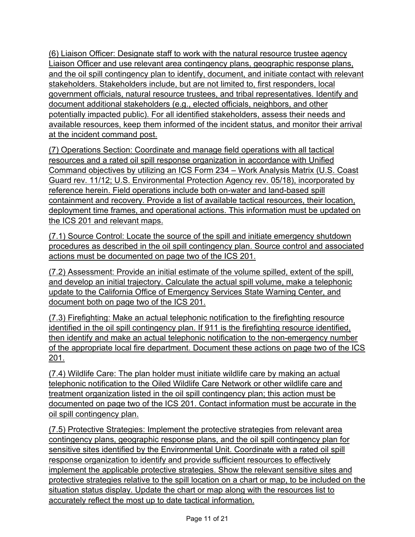(6) Liaison Officer: Designate staff to work with the natural resource trustee agency Liaison Officer and use relevant area contingency plans, geographic response plans, and the oil spill contingency plan to identify, document, and initiate contact with relevant stakeholders. Stakeholders include, but are not limited to, first responders, local government officials, natural resource trustees, and tribal representatives. Identify and document additional stakeholders (e.g., elected officials, neighbors, and other potentially impacted public). For all identified stakeholders, assess their needs and available resources, keep them informed of the incident status, and monitor their arrival at the incident command post.

(7) Operations Section: Coordinate and manage field operations with all tactical resources and a rated oil spill response organization in accordance with Unified Command objectives by utilizing an ICS Form 234 – Work Analysis Matrix (U.S. Coast Guard rev. 11/12; U.S. Environmental Protection Agency rev. 05/18), incorporated by reference herein. Field operations include both on-water and land-based spill containment and recovery. Provide a list of available tactical resources, their location, deployment time frames, and operational actions. This information must be updated on the ICS 201 and relevant maps.

(7.1) Source Control: Locate the source of the spill and initiate emergency shutdown procedures as described in the oil spill contingency plan. Source control and associated actions must be documented on page two of the ICS 201.

(7.2) Assessment: Provide an initial estimate of the volume spilled, extent of the spill, and develop an initial trajectory. Calculate the actual spill volume, make a telephonic update to the California Office of Emergency Services State Warning Center, and document both on page two of the ICS 201.

(7.3) Firefighting: Make an actual telephonic notification to the firefighting resource identified in the oil spill contingency plan. If 911 is the firefighting resource identified, then identify and make an actual telephonic notification to the non-emergency number of the appropriate local fire department. Document these actions on page two of the ICS 201.

(7.4) Wildlife Care: The plan holder must initiate wildlife care by making an actual telephonic notification to the Oiled Wildlife Care Network or other wildlife care and treatment organization listed in the oil spill contingency plan; this action must be documented on page two of the ICS 201. Contact information must be accurate in the oil spill contingency plan.

(7.5) Protective Strategies: Implement the protective strategies from relevant area contingency plans, geographic response plans, and the oil spill contingency plan for sensitive sites identified by the Environmental Unit. Coordinate with a rated oil spill response organization to identify and provide sufficient resources to effectively implement the applicable protective strategies. Show the relevant sensitive sites and protective strategies relative to the spill location on a chart or map, to be included on the situation status display. Update the chart or map along with the resources list to accurately reflect the most up to date tactical information.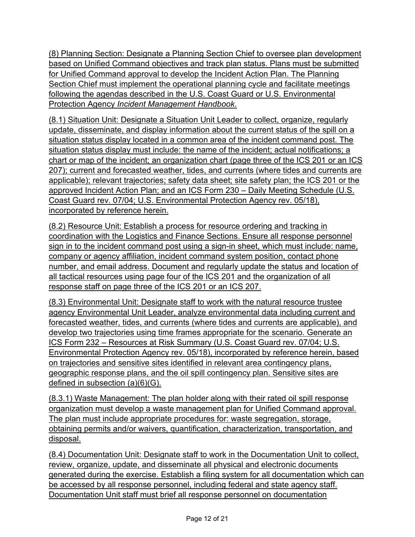(8) Planning Section: Designate a Planning Section Chief to oversee plan development based on Unified Command objectives and track plan status. Plans must be submitted for Unified Command approval to develop the Incident Action Plan. The Planning Section Chief must implement the operational planning cycle and facilitate meetings following the agendas described in the U.S. Coast Guard or U.S. Environmental Protection Agency *Incident Management Handbook*.

(8.1) Situation Unit: Designate a Situation Unit Leader to collect, organize, regularly update, disseminate, and display information about the current status of the spill on a situation status display located in a common area of the incident command post. The situation status display must include: the name of the incident; actual notifications; a chart or map of the incident; an organization chart (page three of the ICS 201 or an ICS 207); current and forecasted weather, tides, and currents (where tides and currents are applicable); relevant trajectories; safety data sheet; site safety plan; the ICS 201 or the approved Incident Action Plan; and an ICS Form 230 – Daily Meeting Schedule (U.S. Coast Guard rev. 07/04; U.S. Environmental Protection Agency rev. 05/18), incorporated by reference herein.

(8.2) Resource Unit: Establish a process for resource ordering and tracking in coordination with the Logistics and Finance Sections. Ensure all response personnel sign in to the incident command post using a sign-in sheet, which must include: name, company or agency affiliation, incident command system position, contact phone number, and email address. Document and regularly update the status and location of all tactical resources using page four of the ICS 201 and the organization of all response staff on page three of the ICS 201 or an ICS 207.

(8.3) Environmental Unit: Designate staff to work with the natural resource trustee agency Environmental Unit Leader, analyze environmental data including current and forecasted weather, tides, and currents (where tides and currents are applicable), and develop two trajectories using time frames appropriate for the scenario. Generate an ICS Form 232 – Resources at Risk Summary (U.S. Coast Guard rev. 07/04; U.S. Environmental Protection Agency rev. 05/18), incorporated by reference herein, based on trajectories and sensitive sites identified in relevant area contingency plans, geographic response plans, and the oil spill contingency plan. Sensitive sites are defined in subsection (a)(6)(G).

(8.3.1) Waste Management: The plan holder along with their rated oil spill response organization must develop a waste management plan for Unified Command approval. The plan must include appropriate procedures for: waste segregation, storage, obtaining permits and/or waivers, quantification, characterization, transportation, and disposal.

(8.4) Documentation Unit: Designate staff to work in the Documentation Unit to collect, review, organize, update, and disseminate all physical and electronic documents generated during the exercise. Establish a filing system for all documentation which can be accessed by all response personnel, including federal and state agency staff. Documentation Unit staff must brief all response personnel on documentation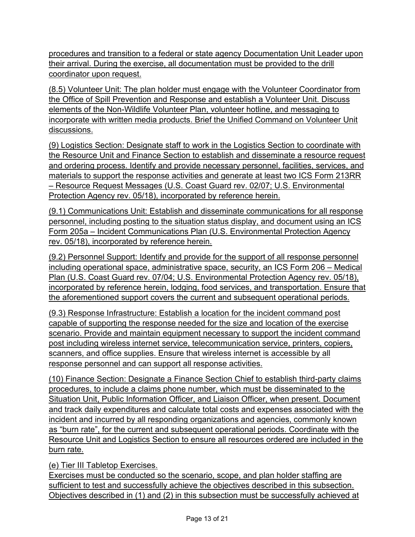procedures and transition to a federal or state agency Documentation Unit Leader upon their arrival. During the exercise, all documentation must be provided to the drill coordinator upon request.

(8.5) Volunteer Unit: The plan holder must engage with the Volunteer Coordinator from the Office of Spill Prevention and Response and establish a Volunteer Unit. Discuss elements of the Non-Wildlife Volunteer Plan, volunteer hotline, and messaging to incorporate with written media products. Brief the Unified Command on Volunteer Unit discussions.

(9) Logistics Section: Designate staff to work in the Logistics Section to coordinate with the Resource Unit and Finance Section to establish and disseminate a resource request and ordering process. Identify and provide necessary personnel, facilities, services, and materials to support the response activities and generate at least two ICS Form 213RR – Resource Request Messages (U.S. Coast Guard rev. 02/07; U.S. Environmental Protection Agency rev. 05/18), incorporated by reference herein.

(9.1) Communications Unit: Establish and disseminate communications for all response personnel, including posting to the situation status display, and document using an ICS Form 205a – Incident Communications Plan (U.S. Environmental Protection Agency rev. 05/18), incorporated by reference herein.

(9.2) Personnel Support: Identify and provide for the support of all response personnel including operational space, administrative space, security, an ICS Form 206 – Medical Plan (U.S. Coast Guard rev. 07/04; U.S. Environmental Protection Agency rev. 05/18), incorporated by reference herein, lodging, food services, and transportation. Ensure that the aforementioned support covers the current and subsequent operational periods.

(9.3) Response Infrastructure: Establish a location for the incident command post capable of supporting the response needed for the size and location of the exercise scenario. Provide and maintain equipment necessary to support the incident command post including wireless internet service, telecommunication service, printers, copiers, scanners, and office supplies. Ensure that wireless internet is accessible by all response personnel and can support all response activities.

(10) Finance Section: Designate a Finance Section Chief to establish third-party claims procedures, to include a claims phone number, which must be disseminated to the Situation Unit, Public Information Officer, and Liaison Officer, when present. Document and track daily expenditures and calculate total costs and expenses associated with the incident and incurred by all responding organizations and agencies, commonly known as "burn rate", for the current and subsequent operational periods. Coordinate with the Resource Unit and Logistics Section to ensure all resources ordered are included in the burn rate.

(e) Tier III Tabletop Exercises.

Exercises must be conducted so the scenario, scope, and plan holder staffing are sufficient to test and successfully achieve the objectives described in this subsection. Objectives described in (1) and (2) in this subsection must be successfully achieved at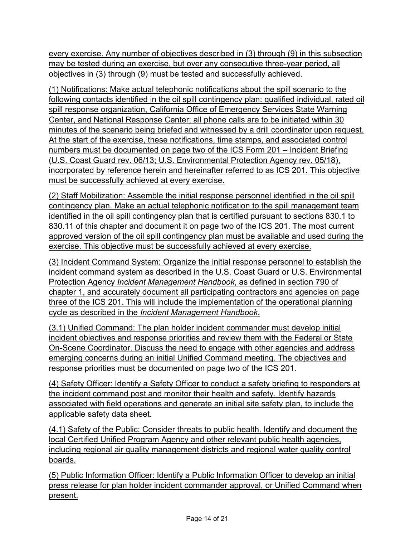every exercise. Any number of objectives described in (3) through (9) in this subsection may be tested during an exercise, but over any consecutive three-year period, all objectives in (3) through (9) must be tested and successfully achieved.

(1) Notifications: Make actual telephonic notifications about the spill scenario to the following contacts identified in the oil spill contingency plan: qualified individual, rated oil spill response organization, California Office of Emergency Services State Warning Center, and National Response Center; all phone calls are to be initiated within 30 minutes of the scenario being briefed and witnessed by a drill coordinator upon request. At the start of the exercise, these notifications, time stamps, and associated control numbers must be documented on page two of the ICS Form 201 – Incident Briefing (U.S. Coast Guard rev. 06/13; U.S. Environmental Protection Agency rev. 05/18), incorporated by reference herein and hereinafter referred to as ICS 201. This objective must be successfully achieved at every exercise.

(2) Staff Mobilization: Assemble the initial response personnel identified in the oil spill contingency plan. Make an actual telephonic notification to the spill management team identified in the oil spill contingency plan that is certified pursuant to sections 830.1 to 830.11 of this chapter and document it on page two of the ICS 201. The most current approved version of the oil spill contingency plan must be available and used during the exercise. This objective must be successfully achieved at every exercise.

(3) Incident Command System: Organize the initial response personnel to establish the incident command system as described in the U.S. Coast Guard or U.S. Environmental Protection Agency *Incident Management Handbook*, as defined in section 790 of chapter 1, and accurately document all participating contractors and agencies on page three of the ICS 201. This will include the implementation of the operational planning cycle as described in the *Incident Management Handbook*.

(3.1) Unified Command: The plan holder incident commander must develop initial incident objectives and response priorities and review them with the Federal or State On-Scene Coordinator. Discuss the need to engage with other agencies and address emerging concerns during an initial Unified Command meeting. The objectives and response priorities must be documented on page two of the ICS 201.

(4) Safety Officer: Identify a Safety Officer to conduct a safety briefing to responders at the incident command post and monitor their health and safety. Identify hazards associated with field operations and generate an initial site safety plan, to include the applicable safety data sheet.

(4.1) Safety of the Public: Consider threats to public health. Identify and document the local Certified Unified Program Agency and other relevant public health agencies, including regional air quality management districts and regional water quality control boards.

(5) Public Information Officer: Identify a Public Information Officer to develop an initial press release for plan holder incident commander approval, or Unified Command when present.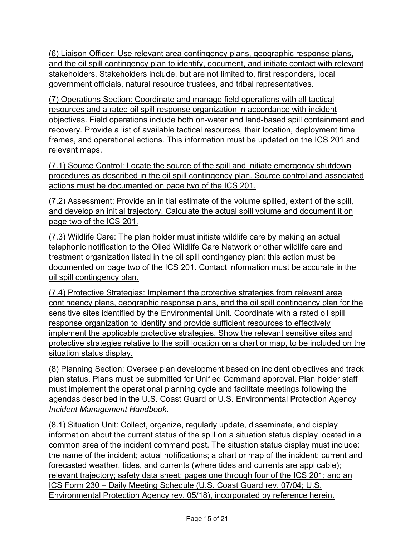(6) Liaison Officer: Use relevant area contingency plans, geographic response plans, and the oil spill contingency plan to identify, document, and initiate contact with relevant stakeholders. Stakeholders include, but are not limited to, first responders, local government officials, natural resource trustees, and tribal representatives.

(7) Operations Section: Coordinate and manage field operations with all tactical resources and a rated oil spill response organization in accordance with incident objectives. Field operations include both on-water and land-based spill containment and recovery. Provide a list of available tactical resources, their location, deployment time frames, and operational actions. This information must be updated on the ICS 201 and relevant maps.

(7.1) Source Control: Locate the source of the spill and initiate emergency shutdown procedures as described in the oil spill contingency plan. Source control and associated actions must be documented on page two of the ICS 201.

(7.2) Assessment: Provide an initial estimate of the volume spilled, extent of the spill, and develop an initial trajectory. Calculate the actual spill volume and document it on page two of the ICS 201.

(7.3) Wildlife Care: The plan holder must initiate wildlife care by making an actual telephonic notification to the Oiled Wildlife Care Network or other wildlife care and treatment organization listed in the oil spill contingency plan; this action must be documented on page two of the ICS 201. Contact information must be accurate in the oil spill contingency plan.

(7.4) Protective Strategies: Implement the protective strategies from relevant area contingency plans, geographic response plans, and the oil spill contingency plan for the sensitive sites identified by the Environmental Unit. Coordinate with a rated oil spill response organization to identify and provide sufficient resources to effectively implement the applicable protective strategies. Show the relevant sensitive sites and protective strategies relative to the spill location on a chart or map, to be included on the situation status display.

(8) Planning Section: Oversee plan development based on incident objectives and track plan status. Plans must be submitted for Unified Command approval. Plan holder staff must implement the operational planning cycle and facilitate meetings following the agendas described in the U.S. Coast Guard or U.S. Environmental Protection Agency *Incident Management Handbook*.

(8.1) Situation Unit: Collect, organize, regularly update, disseminate, and display information about the current status of the spill on a situation status display located in a common area of the incident command post. The situation status display must include: the name of the incident; actual notifications; a chart or map of the incident; current and forecasted weather, tides, and currents (where tides and currents are applicable); relevant trajectory; safety data sheet; pages one through four of the ICS 201; and an ICS Form 230 – Daily Meeting Schedule (U.S. Coast Guard rev. 07/04; U.S. Environmental Protection Agency rev. 05/18), incorporated by reference herein.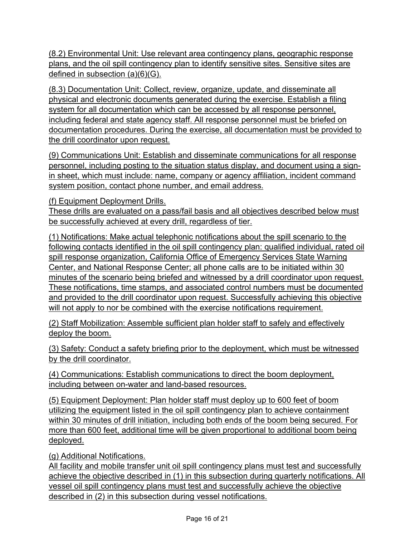(8.2) Environmental Unit: Use relevant area contingency plans, geographic response plans, and the oil spill contingency plan to identify sensitive sites. Sensitive sites are defined in subsection (a)(6)(G).

(8.3) Documentation Unit: Collect, review, organize, update, and disseminate all physical and electronic documents generated during the exercise. Establish a filing system for all documentation which can be accessed by all response personnel, including federal and state agency staff. All response personnel must be briefed on documentation procedures. During the exercise, all documentation must be provided to the drill coordinator upon request.

(9) Communications Unit: Establish and disseminate communications for all response personnel, including posting to the situation status display, and document using a signin sheet, which must include: name, company or agency affiliation, incident command system position, contact phone number, and email address.

(f) Equipment Deployment Drills.

These drills are evaluated on a pass/fail basis and all objectives described below must be successfully achieved at every drill, regardless of tier.

(1) Notifications: Make actual telephonic notifications about the spill scenario to the following contacts identified in the oil spill contingency plan: qualified individual, rated oil spill response organization, California Office of Emergency Services State Warning Center, and National Response Center; all phone calls are to be initiated within 30 minutes of the scenario being briefed and witnessed by a drill coordinator upon request. These notifications, time stamps, and associated control numbers must be documented and provided to the drill coordinator upon request. Successfully achieving this objective will not apply to nor be combined with the exercise notifications requirement.

(2) Staff Mobilization: Assemble sufficient plan holder staff to safely and effectively deploy the boom.

(3) Safety: Conduct a safety briefing prior to the deployment, which must be witnessed by the drill coordinator.

(4) Communications: Establish communications to direct the boom deployment, including between on-water and land-based resources.

(5) Equipment Deployment: Plan holder staff must deploy up to 600 feet of boom utilizing the equipment listed in the oil spill contingency plan to achieve containment within 30 minutes of drill initiation, including both ends of the boom being secured. For more than 600 feet, additional time will be given proportional to additional boom being deployed.

(g) Additional Notifications.

All facility and mobile transfer unit oil spill contingency plans must test and successfully achieve the objective described in (1) in this subsection during quarterly notifications. All vessel oil spill contingency plans must test and successfully achieve the objective described in (2) in this subsection during vessel notifications.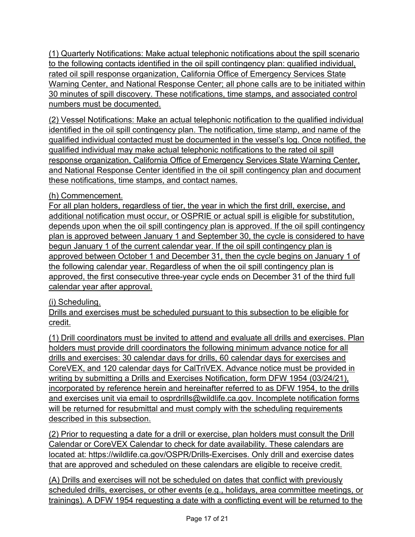(1) Quarterly Notifications: Make actual telephonic notifications about the spill scenario to the following contacts identified in the oil spill contingency plan: qualified individual, rated oil spill response organization, California Office of Emergency Services State Warning Center, and National Response Center; all phone calls are to be initiated within 30 minutes of spill discovery. These notifications, time stamps, and associated control numbers must be documented.

(2) Vessel Notifications: Make an actual telephonic notification to the qualified individual identified in the oil spill contingency plan. The notification, time stamp, and name of the qualified individual contacted must be documented in the vessel's log. Once notified, the qualified individual may make actual telephonic notifications to the rated oil spill response organization, California Office of Emergency Services State Warning Center, and National Response Center identified in the oil spill contingency plan and document these notifications, time stamps, and contact names.

(h) Commencement.

For all plan holders, regardless of tier, the year in which the first drill, exercise, and additional notification must occur, or OSPRIE or actual spill is eligible for substitution, depends upon when the oil spill contingency plan is approved. If the oil spill contingency plan is approved between January 1 and September 30, the cycle is considered to have begun January 1 of the current calendar year. If the oil spill contingency plan is approved between October 1 and December 31, then the cycle begins on January 1 of the following calendar year. Regardless of when the oil spill contingency plan is approved, the first consecutive three-year cycle ends on December 31 of the third full calendar year after approval.

# (i) Scheduling.

Drills and exercises must be scheduled pursuant to this subsection to be eligible for credit.

(1) Drill coordinators must be invited to attend and evaluate all drills and exercises. Plan holders must provide drill coordinators the following minimum advance notice for all drills and exercises: 30 calendar days for drills, 60 calendar days for exercises and CoreVEX, and 120 calendar days for CalTriVEX. Advance notice must be provided in writing by submitting a Drills and Exercises Notification, form DFW 1954 (03/24/21), incorporated by reference herein and hereinafter referred to as DFW 1954, to the drills and exercises unit via email to osprdrills@wildlife.ca.gov. Incomplete notification forms will be returned for resubmittal and must comply with the scheduling requirements described in this subsection.

(2) Prior to requesting a date for a drill or exercise, plan holders must consult the Drill Calendar or CoreVEX Calendar to check for date availability. These calendars are located at: https://wildlife.ca.gov/OSPR/Drills-Exercises. Only drill and exercise dates that are approved and scheduled on these calendars are eligible to receive credit.

(A) Drills and exercises will not be scheduled on dates that conflict with previously scheduled drills, exercises, or other events (e.g., holidays, area committee meetings, or trainings). A DFW 1954 requesting a date with a conflicting event will be returned to the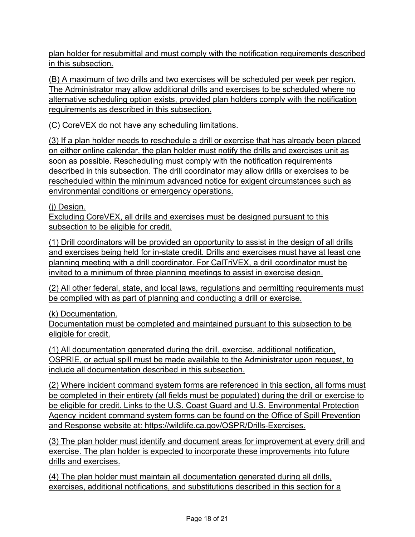plan holder for resubmittal and must comply with the notification requirements described in this subsection.

(B) A maximum of two drills and two exercises will be scheduled per week per region. The Administrator may allow additional drills and exercises to be scheduled where no alternative scheduling option exists, provided plan holders comply with the notification requirements as described in this subsection.

(C) CoreVEX do not have any scheduling limitations.

(3) If a plan holder needs to reschedule a drill or exercise that has already been placed on either online calendar, the plan holder must notify the drills and exercises unit as soon as possible. Rescheduling must comply with the notification requirements described in this subsection. The drill coordinator may allow drills or exercises to be rescheduled within the minimum advanced notice for exigent circumstances such as environmental conditions or emergency operations.

(j) Design.

Excluding CoreVEX, all drills and exercises must be designed pursuant to this subsection to be eligible for credit.

(1) Drill coordinators will be provided an opportunity to assist in the design of all drills and exercises being held for in-state credit. Drills and exercises must have at least one planning meeting with a drill coordinator. For CalTriVEX, a drill coordinator must be invited to a minimum of three planning meetings to assist in exercise design.

(2) All other federal, state, and local laws, regulations and permitting requirements must be complied with as part of planning and conducting a drill or exercise.

(k) Documentation.

Documentation must be completed and maintained pursuant to this subsection to be eligible for credit.

(1) All documentation generated during the drill, exercise, additional notification, OSPRIE, or actual spill must be made available to the Administrator upon request, to include all documentation described in this subsection.

(2) Where incident command system forms are referenced in this section, all forms must be completed in their entirety (all fields must be populated) during the drill or exercise to be eligible for credit. Links to the U.S. Coast Guard and U.S. Environmental Protection Agency incident command system forms can be found on the Office of Spill Prevention and Response website at: https://wildlife.ca.gov/OSPR/Drills-Exercises.

(3) The plan holder must identify and document areas for improvement at every drill and exercise. The plan holder is expected to incorporate these improvements into future drills and exercises.

(4) The plan holder must maintain all documentation generated during all drills, exercises, additional notifications, and substitutions described in this section for a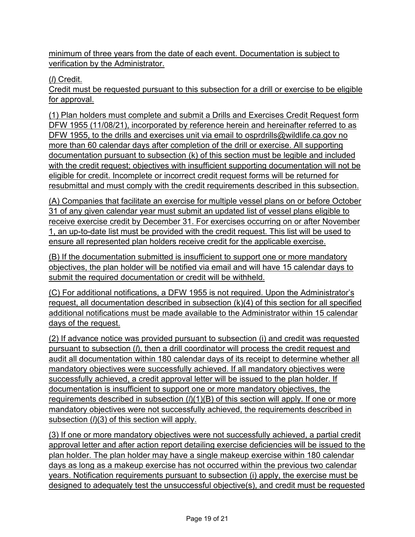minimum of three years from the date of each event. Documentation is subject to verification by the Administrator.

(*l*) Credit.

Credit must be requested pursuant to this subsection for a drill or exercise to be eligible for approval.

(1) Plan holders must complete and submit a Drills and Exercises Credit Request form DFW 1955 (11/08/21), incorporated by reference herein and hereinafter referred to as DFW 1955, to the drills and exercises unit via email to osprdrills@wildlife.ca.gov no more than 60 calendar days after completion of the drill or exercise. All supporting documentation pursuant to subsection (k) of this section must be legible and included with the credit request; objectives with insufficient supporting documentation will not be eligible for credit. Incomplete or incorrect credit request forms will be returned for resubmittal and must comply with the credit requirements described in this subsection.

(A) Companies that facilitate an exercise for multiple vessel plans on or before October 31 of any given calendar year must submit an updated list of vessel plans eligible to receive exercise credit by December 31. For exercises occurring on or after November 1, an up-to-date list must be provided with the credit request. This list will be used to ensure all represented plan holders receive credit for the applicable exercise.

(B) If the documentation submitted is insufficient to support one or more mandatory objectives, the plan holder will be notified via email and will have 15 calendar days to submit the required documentation or credit will be withheld.

(C) For additional notifications, a DFW 1955 is not required. Upon the Administrator's request, all documentation described in subsection (k)(4) of this section for all specified additional notifications must be made available to the Administrator within 15 calendar days of the request.

(2) If advance notice was provided pursuant to subsection (i) and credit was requested pursuant to subsection (*l*), then a drill coordinator will process the credit request and audit all documentation within 180 calendar days of its receipt to determine whether all mandatory objectives were successfully achieved. If all mandatory objectives were successfully achieved, a credit approval letter will be issued to the plan holder. If documentation is insufficient to support one or more mandatory objectives, the requirements described in subsection (*l*)(1)(B) of this section will apply. If one or more mandatory objectives were not successfully achieved, the requirements described in subsection (*l*)(3) of this section will apply.

(3) If one or more mandatory objectives were not successfully achieved, a partial credit approval letter and after action report detailing exercise deficiencies will be issued to the plan holder. The plan holder may have a single makeup exercise within 180 calendar days as long as a makeup exercise has not occurred within the previous two calendar years. Notification requirements pursuant to subsection (i) apply, the exercise must be designed to adequately test the unsuccessful objective(s), and credit must be requested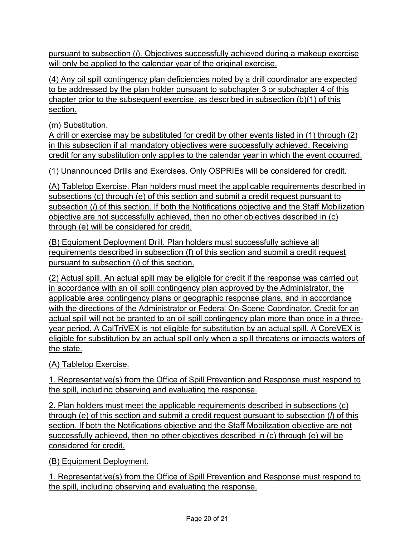pursuant to subsection (*l*). Objectives successfully achieved during a makeup exercise will only be applied to the calendar year of the original exercise.

(4) Any oil spill contingency plan deficiencies noted by a drill coordinator are expected to be addressed by the plan holder pursuant to subchapter 3 or subchapter 4 of this chapter prior to the subsequent exercise, as described in subsection (b)(1) of this section.

(m) Substitution.

A drill or exercise may be substituted for credit by other events listed in (1) through (2) in this subsection if all mandatory objectives were successfully achieved. Receiving credit for any substitution only applies to the calendar year in which the event occurred.

(1) Unannounced Drills and Exercises. Only OSPRIEs will be considered for credit.

(A) Tabletop Exercise. Plan holders must meet the applicable requirements described in subsections (c) through (e) of this section and submit a credit request pursuant to subsection (*l*) of this section. If both the Notifications objective and the Staff Mobilization objective are not successfully achieved, then no other objectives described in (c) through (e) will be considered for credit.

(B) Equipment Deployment Drill. Plan holders must successfully achieve all requirements described in subsection (f) of this section and submit a credit request pursuant to subsection (*l*) of this section.

(2) Actual spill. An actual spill may be eligible for credit if the response was carried out in accordance with an oil spill contingency plan approved by the Administrator, the applicable area contingency plans or geographic response plans, and in accordance with the directions of the Administrator or Federal On-Scene Coordinator. Credit for an actual spill will not be granted to an oil spill contingency plan more than once in a threeyear period. A CalTriVEX is not eligible for substitution by an actual spill. A CoreVEX is eligible for substitution by an actual spill only when a spill threatens or impacts waters of the state.

(A) Tabletop Exercise.

1. Representative(s) from the Office of Spill Prevention and Response must respond to the spill, including observing and evaluating the response.

2. Plan holders must meet the applicable requirements described in subsections (c) through (e) of this section and submit a credit request pursuant to subsection (*l*) of this section. If both the Notifications objective and the Staff Mobilization objective are not successfully achieved, then no other objectives described in (c) through (e) will be considered for credit.

(B) Equipment Deployment.

1. Representative(s) from the Office of Spill Prevention and Response must respond to the spill, including observing and evaluating the response.